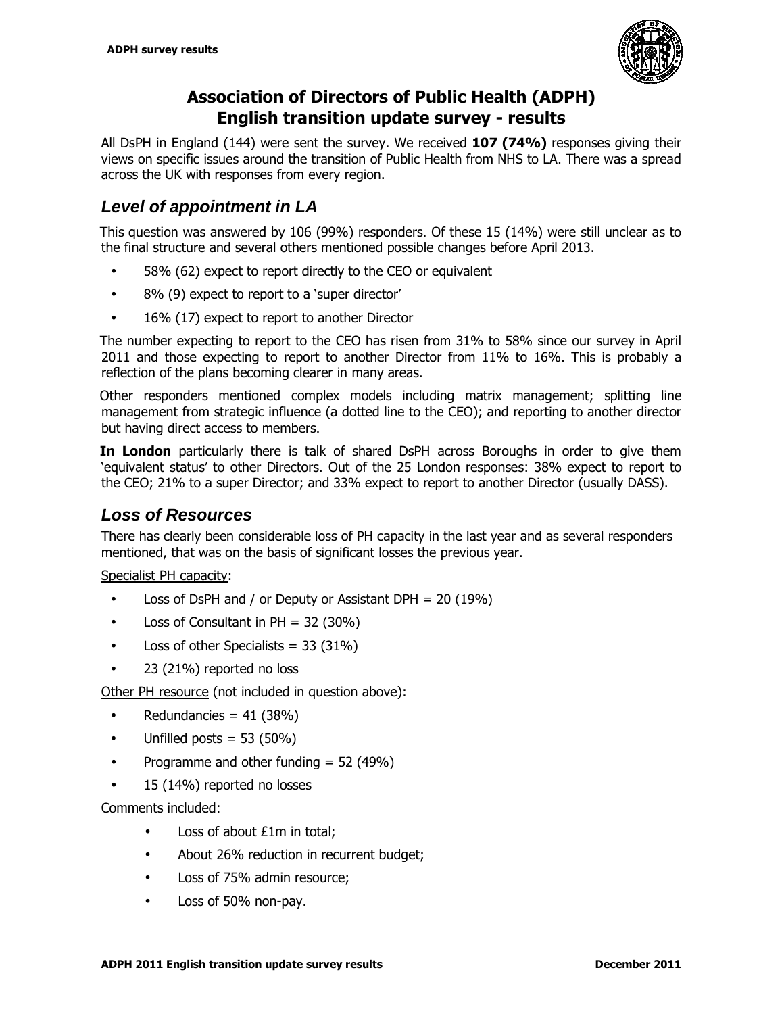

# **Association of Directors of Public Health (ADPH) English transition update survey - results**

All DsPH in England (144) were sent the survey. We received **107 (74%)** responses giving their views on specific issues around the transition of Public Health from NHS to LA. There was a spread across the UK with responses from every region.

## **Level of appointment in LA**

This question was answered by 106 (99%) responders. Of these 15 (14%) were still unclear as to the final structure and several others mentioned possible changes before April 2013.

- 58% (62) expect to report directly to the CEO or equivalent
- 8% (9) expect to report to a 'super director'
- 16% (17) expect to report to another Director

The number expecting to report to the CEO has risen from 31% to 58% since our survey in April 2011 and those expecting to report to another Director from 11% to 16%. This is probably a reflection of the plans becoming clearer in many areas.

Other responders mentioned complex models including matrix management; splitting line management from strategic influence (a dotted line to the CEO); and reporting to another director but having direct access to members.

**In London** particularly there is talk of shared DsPH across Boroughs in order to give them 'equivalent status' to other Directors. Out of the 25 London responses: 38% expect to report to the CEO; 21% to a super Director; and 33% expect to report to another Director (usually DASS).

## **Loss of Resources**

There has clearly been considerable loss of PH capacity in the last year and as several responders mentioned, that was on the basis of significant losses the previous year.

Specialist PH capacity:

- Loss of DsPH and / or Deputy or Assistant DPH = 20 (19%)
- Loss of Consultant in  $PH = 32$  (30%)
- Loss of other Specialists =  $33$  ( $31\%$ )
- 23 (21%) reported no loss

Other PH resource (not included in question above):

- Redundancies =  $41$  (38%)
- Unfilled posts  $= 53 (50\%)$
- Programme and other funding  $= 52 (49%)$
- 15 (14%) reported no losses

Comments included:

- Loss of about £1m in total;
- About 26% reduction in recurrent budget:
- Loss of 75% admin resource;
- Loss of 50% non-pay.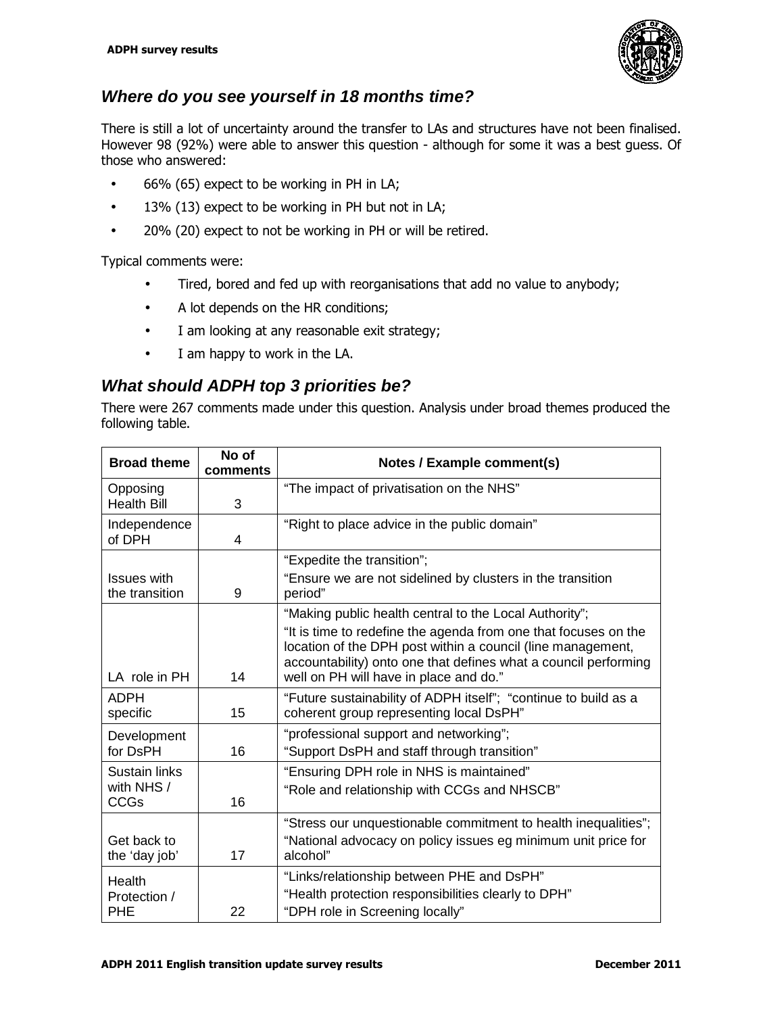

### **Where do you see yourself in 18 months time?**

There is still a lot of uncertainty around the transfer to LAs and structures have not been finalised. However 98 (92%) were able to answer this question - although for some it was a best guess. Of those who answered:

- 66% (65) expect to be working in PH in LA;
- 13% (13) expect to be working in PH but not in LA;
- 20% (20) expect to not be working in PH or will be retired.

Typical comments were:

- Tired, bored and fed up with reorganisations that add no value to anybody;
- A lot depends on the HR conditions;
- I am looking at any reasonable exit strategy;
- I am happy to work in the LA.

### **What should ADPH top 3 priorities be?**

There were 267 comments made under this question. Analysis under broad themes produced the following table.

| <b>Broad theme</b>                         | No of<br>comments | Notes / Example comment(s)                                                                                                                                                                                                                                                                            |
|--------------------------------------------|-------------------|-------------------------------------------------------------------------------------------------------------------------------------------------------------------------------------------------------------------------------------------------------------------------------------------------------|
| Opposing<br><b>Health Bill</b>             | 3                 | "The impact of privatisation on the NHS"                                                                                                                                                                                                                                                              |
| Independence<br>of DPH                     | 4                 | "Right to place advice in the public domain"                                                                                                                                                                                                                                                          |
|                                            |                   | "Expedite the transition";                                                                                                                                                                                                                                                                            |
| <b>Issues with</b><br>the transition       | 9                 | "Ensure we are not sidelined by clusters in the transition<br>period"                                                                                                                                                                                                                                 |
| LA role in PH                              | 14                | "Making public health central to the Local Authority";<br>"It is time to redefine the agenda from one that focuses on the<br>location of the DPH post within a council (line management,<br>accountability) onto one that defines what a council performing<br>well on PH will have in place and do." |
| <b>ADPH</b><br>specific                    | 15                | "Future sustainability of ADPH itself"; "continue to build as a<br>coherent group representing local DsPH"                                                                                                                                                                                            |
| Development<br>for DsPH                    | 16                | "professional support and networking";<br>"Support DsPH and staff through transition"                                                                                                                                                                                                                 |
| Sustain links<br>with NHS /<br><b>CCGs</b> | 16                | "Ensuring DPH role in NHS is maintained"<br>"Role and relationship with CCGs and NHSCB"                                                                                                                                                                                                               |
| Get back to<br>the 'day job'               | 17                | "Stress our unquestionable commitment to health inequalities";<br>"National advocacy on policy issues eg minimum unit price for<br>alcohol"                                                                                                                                                           |
| Health<br>Protection /<br><b>PHE</b>       | 22                | "Links/relationship between PHE and DsPH"<br>"Health protection responsibilities clearly to DPH"<br>"DPH role in Screening locally"                                                                                                                                                                   |